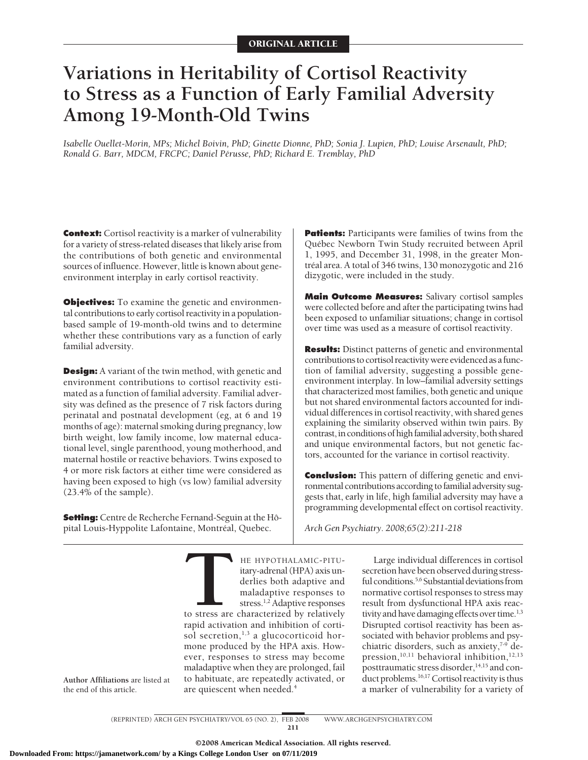# **Variations in Heritability of Cortisol Reactivity to Stress as a Function of Early Familial Adversity Among 19-Month-Old Twins**

*Isabelle Ouellet-Morin, MPs; Michel Boivin, PhD; Ginette Dionne, PhD; Sonia J. Lupien, PhD; Louise Arsenault, PhD; Ronald G. Barr, MDCM, FRCPC; Daniel Pe´russe, PhD; Richard E. Tremblay, PhD*

**Context:** Cortisol reactivity is a marker of vulnerability for a variety of stress-related diseases that likely arise from the contributions of both genetic and environmental sources of influence. However, little is known about geneenvironment interplay in early cortisol reactivity.

**Objectives:** To examine the genetic and environmental contributions to early cortisol reactivity in a populationbased sample of 19-month-old twins and to determine whether these contributions vary as a function of early familial adversity.

**Design:** A variant of the twin method, with genetic and environment contributions to cortisol reactivity estimated as a function of familial adversity. Familial adversity was defined as the presence of 7 risk factors during perinatal and postnatal development (eg, at 6 and 19 months of age): maternal smoking during pregnancy, low birth weight, low family income, low maternal educational level, single parenthood, young motherhood, and maternal hostile or reactive behaviors. Twins exposed to 4 or more risk factors at either time were considered as having been exposed to high (vs low) familial adversity (23.4% of the sample).

**Setting:** Centre de Recherche Fernand-Seguin at the Hoˆpital Louis-Hyppolite Lafontaine, Montréal, Quebec.

**Patients:** Participants were families of twins from the Québec Newborn Twin Study recruited between April 1, 1995, and December 31, 1998, in the greater Montréal area. A total of 346 twins, 130 monozygotic and 216 dizygotic, were included in the study.

**Main Outcome Measures:** Salivary cortisol samples were collected before and after the participating twins had been exposed to unfamiliar situations; change in cortisol over time was used as a measure of cortisol reactivity.

**Results:** Distinct patterns of genetic and environmental contributions to cortisol reactivity were evidenced as a function of familial adversity, suggesting a possible geneenvironment interplay. In low–familial adversity settings that characterized most families, both genetic and unique but not shared environmental factors accounted for individual differences in cortisol reactivity, with shared genes explaining the similarity observed within twin pairs. By contrast, in conditions of high familial adversity, both shared and unique environmental factors, but not genetic factors, accounted for the variance in cortisol reactivity.

**Conclusion:** This pattern of differing genetic and environmental contributions according to familial adversity suggests that, early in life, high familial adversity may have a programming developmental effect on cortisol reactivity.

*Arch Gen Psychiatry. 2008;65(2):211-218*

**THE HYPOTHALAMIC-PITU-**<br>
itary-adrenal (HPA) axis un-<br>
derlies both adaptive and<br>
maladaptive responses to<br>
stress.<sup>1,2</sup> Adaptive responses<br>
to stress are characterized by relatively<br>
ranid activation and inhibition of co derlies both adaptive and maladaptive responses to stress.1,2 Adaptive responses rapid activation and inhibition of cortisol secretion,  $1,3$  a glucocorticoid hormone produced by the HPA axis. However, responses to stress may become maladaptive when they are prolonged, fail to habituate, are repeatedly activated, or are quiescent when needed.<sup>4</sup>

Large individual differences in cortisol secretion have been observed during stressful conditions.<sup>5,6</sup> Substantial deviations from normative cortisol responses to stress may result from dysfunctional HPA axis reactivity and have damaging effects over time.<sup>1,3</sup> Disrupted cortisol reactivity has been associated with behavior problems and psychiatric disorders, such as anxiety, $7-9$  depression,<sup>10,11</sup> behavioral inhibition,<sup>12,13</sup> posttraumatic stress disorder, $14,15$  and conduct problems.<sup>16,17</sup> Cortisol reactivity is thus a marker of vulnerability for a variety of

**Author Affiliations** are listed at the end of this article.

> (REPRINTED) ARCH GEN PSYCHIATRY/ VOL 65 (NO. 2), FEB 2008 WWW.ARCHGENPSYCHIATRY.COM 211

> > ©2008 American Medical Association. All rights reserved.

itary-adrenal (HPA) axis un-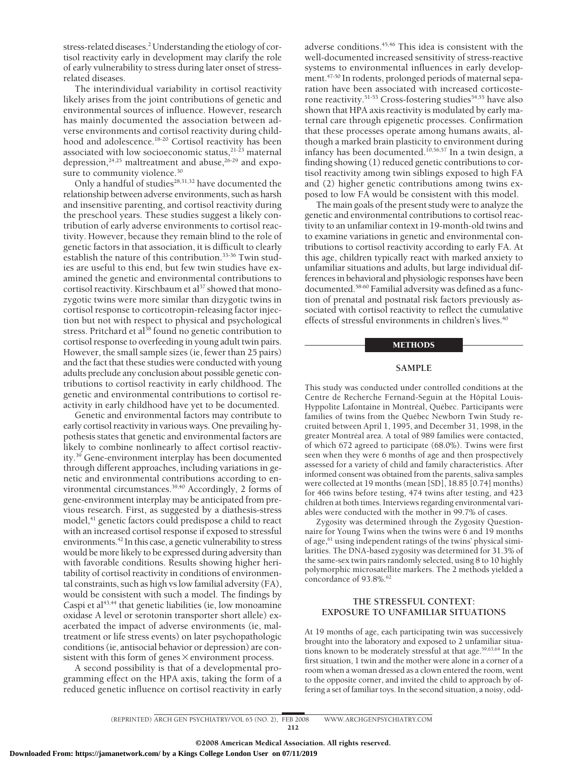stress-related diseases.<sup>2</sup> Understanding the etiology of cortisol reactivity early in development may clarify the role of early vulnerability to stress during later onset of stressrelated diseases.

The interindividual variability in cortisol reactivity likely arises from the joint contributions of genetic and environmental sources of influence. However, research has mainly documented the association between adverse environments and cortisol reactivity during childhood and adolescence.<sup>18-20</sup> Cortisol reactivity has been associated with low socioeconomic status,<sup>21-23</sup> maternal depression,<sup>24,25</sup> maltreatment and abuse,<sup>26-29</sup> and exposure to community violence.<sup>30</sup>

Only a handful of studies<sup>28,31,32</sup> have documented the relationship between adverse environments, such as harsh and insensitive parenting, and cortisol reactivity during the preschool years. These studies suggest a likely contribution of early adverse environments to cortisol reactivity. However, because they remain blind to the role of genetic factors in that association, it is difficult to clearly establish the nature of this contribution.<sup>33-36</sup> Twin studies are useful to this end, but few twin studies have examined the genetic and environmental contributions to cortisol reactivity. Kirschbaum et al<sup>37</sup> showed that monozygotic twins were more similar than dizygotic twins in cortisol response to corticotropin-releasing factor injection but not with respect to physical and psychological stress. Pritchard et al<sup>38</sup> found no genetic contribution to cortisol response to overfeeding in young adult twin pairs. However, the small sample sizes (ie, fewer than 25 pairs) and the fact that these studies were conducted with young adults preclude any conclusion about possible genetic contributions to cortisol reactivity in early childhood. The genetic and environmental contributions to cortisol reactivity in early childhood have yet to be documented.

Genetic and environmental factors may contribute to early cortisol reactivity in various ways. One prevailing hypothesis states that genetic and environmental factors are likely to combine nonlinearly to affect cortisol reactivity.39 Gene-environment interplay has been documented through different approaches, including variations in genetic and environmental contributions according to environmental circumstances.39,40 Accordingly, 2 forms of gene-environment interplay may be anticipated from previous research. First, as suggested by a diathesis-stress model,<sup>41</sup> genetic factors could predispose a child to react with an increased cortisol response if exposed to stressful environments.<sup>42</sup> In this case, a genetic vulnerability to stress would be more likely to be expressed during adversity than with favorable conditions. Results showing higher heritability of cortisol reactivity in conditions of environmental constraints, such as high vs low familial adversity (FA), would be consistent with such a model. The findings by Caspi et al<sup>43,44</sup> that genetic liabilities (ie, low monoamine oxidase A level or serotonin transporter short allele) exacerbated the impact of adverse environments (ie, maltreatment or life stress events) on later psychopathologic conditions (ie, antisocial behavior or depression) are consistent with this form of genes  $\times$  environment process.

A second possibility is that of a developmental programming effect on the HPA axis, taking the form of a reduced genetic influence on cortisol reactivity in early adverse conditions.45,46 This idea is consistent with the well-documented increased sensitivity of stress-reactive systems to environmental influences in early development.<sup>47-50</sup> In rodents, prolonged periods of maternal separation have been associated with increased corticosterone reactivity.<sup>51-53</sup> Cross-fostering studies<sup>54,55</sup> have also shown that HPA axis reactivity is modulated by early maternal care through epigenetic processes. Confirmation that these processes operate among humans awaits, although a marked brain plasticity to environment during infancy has been documented.<sup>10,56,57</sup> In a twin design, a finding showing (1) reduced genetic contributions to cortisol reactivity among twin siblings exposed to high FA and (2) higher genetic contributions among twins exposed to low FA would be consistent with this model.

The main goals of the present study were to analyze the genetic and environmental contributions to cortisol reactivity to an unfamiliar context in 19-month-old twins and to examine variations in genetic and environmental contributions to cortisol reactivity according to early FA. At this age, children typically react with marked anxiety to unfamiliar situations and adults, but large individual differences in behavioral and physiologic responses have been documented.58-60 Familial adversity was defined as a function of prenatal and postnatal risk factors previously associated with cortisol reactivity to reflect the cumulative effects of stressful environments in children's lives.<sup>40</sup>

#### METHODS

# **SAMPLE**

This study was conducted under controlled conditions at the Centre de Recherche Fernand-Seguin at the Hôpital Louis-Hyppolite Lafontaine in Montréal, Québec. Participants were families of twins from the Québec Newborn Twin Study recruited between April 1, 1995, and December 31, 1998, in the greater Montréal area. A total of 989 families were contacted, of which 672 agreed to participate (68.0%). Twins were first seen when they were 6 months of age and then prospectively assessed for a variety of child and family characteristics. After informed consent was obtained from the parents, saliva samples were collected at 19 months (mean [SD], 18.85 [0.74] months) for 466 twins before testing, 474 twins after testing, and 423 children at both times. Interviews regarding environmental variables were conducted with the mother in 99.7% of cases.

Zygosity was determined through the Zygosity Questionnaire for Young Twins when the twins were 6 and 19 months of age, $61$  using independent ratings of the twins' physical similarities. The DNA-based zygosity was determined for 31.3% of the same-sex twin pairs randomly selected, using 8 to 10 highly polymorphic microsatellite markers. The 2 methods yielded a concordance of 93.8%.<sup>62</sup>

# **THE STRESSFUL CONTEXT: EXPOSURE TO UNFAMILIAR SITUATIONS**

At 19 months of age, each participating twin was successively brought into the laboratory and exposed to 2 unfamiliar situations known to be moderately stressful at that age.59,63,64 In the first situation, 1 twin and the mother were alone in a corner of a room when a woman dressed as a clown entered the room, went to the opposite corner, and invited the child to approach by offering a set of familiar toys. In the second situation, a noisy, odd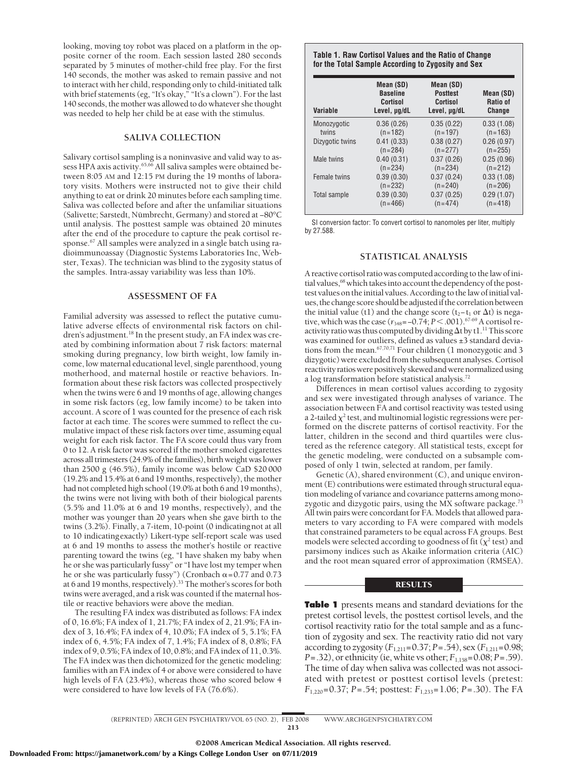looking, moving toy robot was placed on a platform in the opposite corner of the room. Each session lasted 280 seconds separated by 5 minutes of mother-child free play. For the first 140 seconds, the mother was asked to remain passive and not to interact with her child, responding only to child-initiated talk with brief statements (eg, "It's okay," "It's a clown"). For the last 140 seconds, the mother was allowed to do whatever she thought was needed to help her child be at ease with the stimulus.

# **SALIVA COLLECTION**

Salivary cortisol sampling is a noninvasive and valid way to assess HPA axis activity.<sup>65,66</sup> All saliva samples were obtained between 8:05 AM and 12:15 PM during the 19 months of laboratory visits. Mothers were instructed not to give their child anything to eat or drink 20 minutes before each sampling time. Saliva was collected before and after the unfamiliar situations (Salivette; Sarstedt, Nu¨ mbrecht, Germany) and stored at −80°C until analysis. The posttest sample was obtained 20 minutes after the end of the procedure to capture the peak cortisol response.67 All samples were analyzed in a single batch using radioimmunoassay (Diagnostic Systems Laboratories Inc, Webster, Texas). The technician was blind to the zygosity status of the samples. Intra-assay variability was less than 10%.

#### **ASSESSMENT OF FA**

Familial adversity was assessed to reflect the putative cumulative adverse effects of environmental risk factors on children's adjustment.<sup>18</sup> In the present study, an FA index was created by combining information about 7 risk factors: maternal smoking during pregnancy, low birth weight, low family income, low maternal educational level, single parenthood, young motherhood, and maternal hostile or reactive behaviors. Information about these risk factors was collected prospectively when the twins were 6 and 19 months of age, allowing changes in some risk factors (eg, low family income) to be taken into account. A score of 1 was counted for the presence of each risk factor at each time. The scores were summed to reflect the cumulative impact of these risk factors over time, assuming equal weight for each risk factor. The FA score could thus vary from 0 to 12. A risk factor was scored if the mother smoked cigarettes across all trimesters (24.9% of the families), birth weight was lower than 2500 g (46.5%), family income was below CaD \$20 000 (19.2% and 15.4% at 6 and 19 months, respectively), the mother had not completed high school (19.0% at both 6 and 19 months), the twins were not living with both of their biological parents (5.5% and 11.0% at 6 and 19 months, respectively), and the mother was younger than 20 years when she gave birth to the twins (3.2%). Finally, a 7-item, 10-point (0 indicatingnot at all to 10 indicatingexactly) Likert-type self-report scale was used at 6 and 19 months to assess the mother's hostile or reactive parenting toward the twins (eg, "I have shaken my baby when he or she was particularly fussy" or "I have lost my temper when he or she was particularly fussy") (Cronbach  $\alpha$  = 0.77 and 0.73 at 6 and 19 months, respectively).33 The mother's scores for both twins were averaged, and a risk was counted if the maternal hostile or reactive behaviors were above the median.

The resulting FA index was distributed as follows: FA index of 0, 16.6%; FA index of 1, 21.7%; FA index of 2, 21.9%; FA index of 3, 16.4%; FA index of 4, 10.0%; FA index of 5, 5.1%; FA index of 6, 4.5%; FA index of 7, 1.4%; FA index of 8, 0.8%; FA index of 9, 0.5%; FA index of 10, 0.8%; and FA index of 11, 0.3%. The FA index was then dichotomized for the genetic modeling: families with an FA index of 4 or above were considered to have high levels of FA (23.4%), whereas those who scored below 4 were considered to have low levels of FA (76.6%).

### **Table 1. Raw Cortisol Values and the Ratio of Change for the Total Sample According to Zygosity and Sex**

| <b>Variable</b> | Mean (SD)<br><b>Baseline</b><br>Cortisol<br>Level, µg/dL | Mean (SD)<br><b>Posttest</b><br>Cortisol<br>Level, µg/dL | Mean (SD)<br>Ratio of<br><b>Change</b> |  |
|-----------------|----------------------------------------------------------|----------------------------------------------------------|----------------------------------------|--|
| Monozygotic     | 0.36(0.26)                                               | 0.35(0.22)                                               | 0.33(1.08)                             |  |
| twins           | $(n=182)$                                                | $(n=197)$                                                | $(n=163)$                              |  |
| Dizygotic twins | 0.41(0.33)                                               | 0.38(0.27)                                               | 0.26(0.97)                             |  |
|                 | $(n=284)$                                                | $(n=277)$                                                | $(n=255)$                              |  |
| Male twins      | 0.40(0.31)                                               | 0.37(0.26)                                               | 0.25(0.96)                             |  |
|                 | $(n=234)$                                                | $(n=234)$                                                | $(n=212)$                              |  |
| Female twins    | 0.39(0.30)                                               | 0.37(0.24)                                               | 0.33(1.08)                             |  |
|                 | $(n=232)$                                                | $(n=240)$                                                | $(n=206)$                              |  |
| Total sample    | 0.39(0.30)                                               | 0.37(0.25)                                               | 0.29(1.07)                             |  |
|                 | $(n = 466)$                                              | $(n=474)$                                                | $(n=418)$                              |  |

SI conversion factor: To convert cortisol to nanomoles per liter, multiply by 27.588.

#### **STATISTICAL ANALYSIS**

A reactive cortisol ratio was computed according to the law of initial values,<sup>68</sup> which takes into account the dependency of the posttest values on the initial values. According to the law of initial values, the change score should be adjusted if the correlation between the initial value (t1) and the change score (t<sub>2</sub>−t<sub>1</sub> or  $\Delta t$ ) is negative, which was the case ( $r_{348}$ = -0.74; *P* < .001).<sup>67-69</sup> A cortisol reactivity ratio was thus computed by dividing  $\Delta t$  by tl.<sup>11</sup> This score was examined for outliers, defined as values  $\pm 3$  standard deviations from the mean.<sup>67,70,71</sup> Four children (1 monozygotic and 3 dizygotic) were excluded from the subsequent analyses. Cortisol reactivity ratios were positively skewed and were normalized using a log transformation before statistical analysis. $\!\!^{72}$ 

Differences in mean cortisol values according to zygosity and sex were investigated through analyses of variance. The association between FA and cortisol reactivity was tested using a 2-tailed  $\chi^2$  test, and multinomial logistic regressions were performed on the discrete patterns of cortisol reactivity. For the latter, children in the second and third quartiles were clustered as the reference category. All statistical tests, except for the genetic modeling, were conducted on a subsample composed of only 1 twin, selected at random, per family.

Genetic (A), shared environment (C), and unique environment (E) contributions were estimated through structural equation modeling of variance and covariance patterns among monozygotic and dizygotic pairs, using the MX software package.<sup>73</sup> All twin pairs were concordant for FA. Models that allowed parameters to vary according to FA were compared with models that constrained parameters to be equal across FA groups. Best models were selected according to goodness of fit ( $\chi^2$  test) and parsimony indices such as Akaike information criteria (AIC) and the root mean squared error of approximation (RMSEA).

# **RESULTS**

**Table 1** presents means and standard deviations for the pretest cortisol levels, the posttest cortisol levels, and the cortisol reactivity ratio for the total sample and as a function of zygosity and sex. The reactivity ratio did not vary according to zygosity  $(F_{1,211}=0.37; P=.54)$ , sex  $(F_{1,211}=0.98;$ *P*=.32), or ethnicity (ie, white vs other;  $F_{1.158}$ =0.08; *P*=.59). The time of day when saliva was collected was not associated with pretest or posttest cortisol levels (pretest: *F*1,220=0.37; *P*=.54; posttest: *F*1,233=1.06; *P*=.30). The FA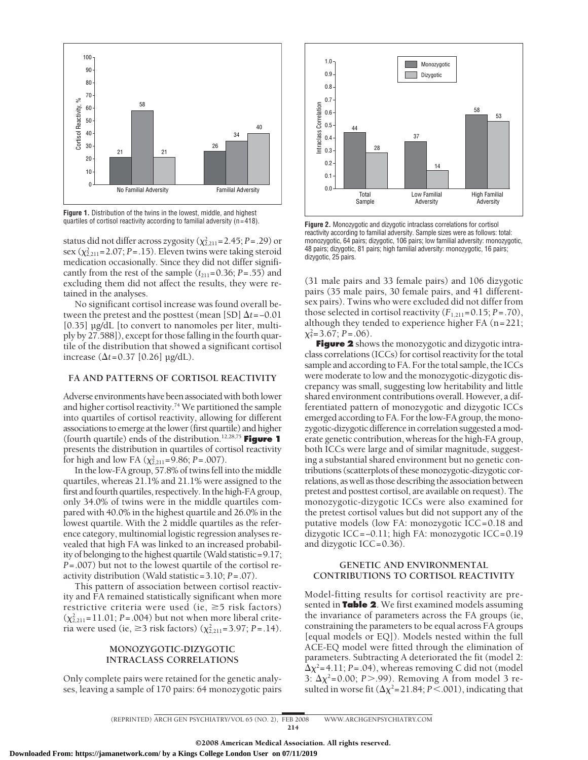

**Figure 1.** Distribution of the twins in the lowest, middle, and highest quartiles of cortisol reactivity according to familial adversity (n=418).

status did not differ across zygosity  $(\chi^2_{2,211} = 2.45; P = .29)$  or sex  $(\chi^2_{2,211} = 2.07; P = .15)$ . Eleven twins were taking steroid medication occasionally. Since they did not differ significantly from the rest of the sample  $(t_{211}=0.36; P=.55)$  and excluding them did not affect the results, they were retained in the analyses.

No significant cortisol increase was found overall between the pretest and the posttest (mean [SD]  $\Delta t$ =−0.01 [0.35]  $\mu$ g/dL [to convert to nanomoles per liter, multiply by 27.588]), except for those falling in the fourth quartile of the distribution that showed a significant cortisol increase  $(\Delta t = 0.37 \, [0.26] \, \text{µg/dL}).$ 

## **FA AND PATTERNS OF CORTISOL REACTIVITY**

Adverse environments have been associated with both lower and higher cortisol reactivity.<sup>74</sup> We partitioned the sample into quartiles of cortisol reactivity, allowing for different associations to emerge at the lower (first quartile) and higher (fourth quartile) ends of the distribution.12,28,75 **Figure 1** presents the distribution in quartiles of cortisol reactivity for high and low FA  $(\chi^2_{2,211} = 9.86; P = .007)$ .

In the low-FA group, 57.8% of twins fell into the middle quartiles, whereas 21.1% and 21.1% were assigned to the first and fourth quartiles, respectively. In the high-FA group, only 34.0% of twins were in the middle quartiles compared with 40.0% in the highest quartile and 26.0% in the lowest quartile. With the 2 middle quartiles as the reference category, multinomial logistic regression analyses revealed that high FA was linked to an increased probability of belonging to the highest quartile (Wald statistic=9.17; *P*=.007) but not to the lowest quartile of the cortisol reactivity distribution (Wald statistic=3.10; *P*=.07).

This pattern of association between cortisol reactivity and FA remained statistically significant when more restrictive criteria were used (ie,  $\geq$ 5 risk factors)  $(\chi_{2,211}^2 = 11.01; P = .004)$  but not when more liberal criteria were used (ie,  $\geq$ 3 risk factors) ( $\chi^2_{2,211}$ =3.97; *P*=.14).

## **MONOZYGOTIC-DIZYGOTIC INTRACLASS CORRELATIONS**

Only complete pairs were retained for the genetic analyses, leaving a sample of 170 pairs: 64 monozygotic pairs



**Figure 2.** Monozygotic and dizygotic intraclass correlations for cortisol reactivity according to familial adversity. Sample sizes were as follows: total: monozygotic, 64 pairs; dizygotic, 106 pairs; low familial adversity: monozygotic, 48 pairs; dizygotic, 81 pairs; high familial adversity: monozygotic, 16 pairs; dizygotic, 25 pairs.

(31 male pairs and 33 female pairs) and 106 dizygotic pairs (35 male pairs, 30 female pairs, and 41 differentsex pairs). Twins who were excluded did not differ from those selected in cortisol reactivity  $(F_{1,211}=0.15; P=.70)$ , although they tended to experience higher FA (n=221;  $\chi^2_4 = 3.67; P = .06$ .

**Figure 2** shows the monozygotic and dizygotic intraclass correlations (ICCs) for cortisol reactivity for the total sample and according to FA. For the total sample, the ICCs were moderate to low and the monozygotic-dizygotic discrepancy was small, suggesting low heritability and little shared environment contributions overall. However, a differentiated pattern of monozygotic and dizygotic ICCs emerged according to FA. For the low-FA group, the monozygotic-dizygotic difference in correlation suggested a moderate genetic contribution, whereas for the high-FA group, both ICCs were large and of similar magnitude, suggesting a substantial shared environment but no genetic contributions (scatterplots of these monozygotic-dizygotic correlations, as well as those describing the association between pretest and posttest cortisol, are available on request). The monozygotic-dizygotic ICCs were also examined for the pretest cortisol values but did not support any of the putative models (low FA: monozygotic ICC=0.18 and dizygotic ICC=−0.11; high FA: monozygotic ICC=0.19 and dizygotic ICC=0.36).

## **GENETIC AND ENVIRONMENTAL CONTRIBUTIONS TO CORTISOL REACTIVITY**

Model-fitting results for cortisol reactivity are presented in **Table 2**. We first examined models assuming the invariance of parameters across the FA groups (ie, constraining the parameters to be equal across FA groups [equal models or EQ]). Models nested within the full ACE-EQ model were fitted through the elimination of parameters. Subtracting A deteriorated the fit (model 2:  $\Delta \chi^2$ =4.11; *P*=.04), whereas removing C did not (model 3:  $\Delta \chi^2$ =0.00; *P*>.99). Removing A from model 3 resulted in worse fit  $(\Delta \chi^2 = 21.84; P < .001)$ , indicating that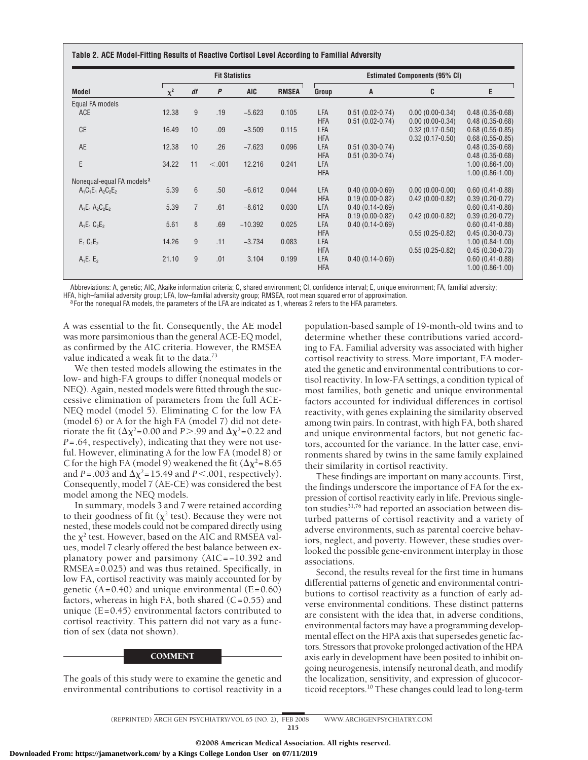| Model                                 | <b>Fit Statistics</b> |                |        |            |              | <b>Estimated Components (95% CI)</b> |                     |                   |                     |
|---------------------------------------|-----------------------|----------------|--------|------------|--------------|--------------------------------------|---------------------|-------------------|---------------------|
|                                       | $\chi^2$              | df             | P      | <b>AIC</b> | <b>RMSEA</b> | Group                                | A                   | C                 | E                   |
| Equal FA models                       |                       |                |        |            |              |                                      |                     |                   |                     |
| ACE                                   | 12.38                 | 9              | .19    | $-5.623$   | 0.105        | LFA                                  | $0.51(0.02-0.74)$   | $0.00(0.00-0.34)$ | $0.48(0.35-0.68)$   |
|                                       |                       |                |        |            |              | <b>HFA</b>                           | $0.51(0.02 - 0.74)$ | $0.00(0.00-0.34)$ | $0.48(0.35-0.68)$   |
| <b>CE</b>                             | 16.49                 | 10             | .09    | $-3.509$   | 0.115        | LFA                                  |                     | $0.32(0.17-0.50)$ | $0.68(0.55-0.85)$   |
|                                       |                       |                |        |            |              | <b>HFA</b>                           |                     | $0.32(0.17-0.50)$ | $0.68(0.55-0.85)$   |
| AE                                    | 12.38                 | 10             | .26    | $-7.623$   | 0.096        | LFA                                  | $0.51(0.30-0.74)$   |                   | $0.48(0.35-0.68)$   |
|                                       |                       |                |        |            |              | <b>HFA</b>                           | $0.51(0.30-0.74)$   |                   | $0.48(0.35-0.68)$   |
| E                                     | 34.22                 | 11             | < .001 | 12.216     | 0.241        | LFA                                  |                     |                   | $1.00(0.86-1.00)$   |
|                                       |                       |                |        |            |              | <b>HFA</b>                           |                     |                   | $1.00(0.86-1.00)$   |
| Nonegual-equal FA models <sup>a</sup> |                       |                |        |            |              |                                      |                     |                   |                     |
| $A_1C_1E_1A_2C_2E_2$                  | 5.39                  | 6              | .50    | $-6.612$   | 0.044        | LFA                                  | $0.40(0.00-0.69)$   | $0.00(0.00-0.00)$ | $0.60(0.41-0.88)$   |
|                                       |                       |                |        |            |              | <b>HFA</b>                           | $0.19(0.00-0.82)$   | $0.42(0.00-0.82)$ | $0.39(0.20-0.72)$   |
| $A_1E_1A_2C_2E_2$                     | 5.39                  | $\overline{7}$ | .61    | $-8.612$   | 0.030        | LFA                                  | $0.40(0.14-0.69)$   |                   | $0.60(0.41 - 0.88)$ |
|                                       |                       |                |        |            |              | <b>HFA</b>                           | $0.19(0.00-0.82)$   | $0.42(0.00-0.82)$ | $0.39(0.20-0.72)$   |
| $A_1E_1C_2E_2$                        | 5.61                  | 8              | .69    | $-10.392$  | 0.025        | LFA                                  | $0.40(0.14-0.69)$   |                   | $0.60(0.41 - 0.88)$ |
|                                       |                       |                |        |            |              | <b>HFA</b>                           |                     | $0.55(0.25-0.82)$ | $0.45(0.30-0.73)$   |
| $E_1 C_2E_2$                          | 14.26                 | 9              | .11    | $-3.734$   | 0.083        | LFA                                  |                     |                   | $1.00(0.84-1.00)$   |
|                                       |                       |                |        |            |              | <b>HFA</b>                           |                     | $0.55(0.25-0.82)$ | $0.45(0.30-0.73)$   |
| $A_1E_1E_2$                           | 21.10                 | 9              | .01    | 3.104      | 0.199        | LFA                                  | $0.40(0.14 - 0.69)$ |                   | $0.60(0.41 - 0.88)$ |
|                                       |                       |                |        |            |              | <b>HFA</b>                           |                     |                   | $1.00(0.86-1.00)$   |

Abbreviations: A, genetic; AIC, Akaike information criteria; C, shared environment; CI, confidence interval; E, unique environment; FA, familial adversity;

HFA, high-familial adversity group; LFA, low-familial adversity group; RMSEA, root mean squared error of approximation.<br><sup>a</sup> For the nonequal FA models, the parameters of the LFA are indicated as 1, whereas 2 refers to the

A was essential to the fit. Consequently, the AE model was more parsimonious than the general ACE-EQ model, as confirmed by the AIC criteria. However, the RMSEA value indicated a weak fit to the data.<sup>73</sup>

We then tested models allowing the estimates in the low- and high-FA groups to differ (nonequal models or NEQ). Again, nested models were fitted through the successive elimination of parameters from the full ACE-NEQ model (model 5). Eliminating C for the low FA (model 6) or A for the high FA (model 7) did not deteriorate the fit ( $\Delta \chi^2$ =0.00 and *P*>.99 and  $\Delta \chi^2$ =0.22 and *P*=.64, respectively), indicating that they were not useful. However, eliminating A for the low FA (model 8) or C for the high FA (model 9) weakened the fit  $(\Delta \chi^2=8.65$ and *P* = .003 and  $\Delta \chi^2$  = 15.49 and *P* < .001, respectively). Consequently, model 7 (AE-CE) was considered the best model among the NEQ models.

In summary, models 3 and 7 were retained according to their goodness of fit ( $\chi^2$  test). Because they were not nested, these models could not be compared directly using the  $\chi^2$  test. However, based on the AIC and RMSEA values, model 7 clearly offered the best balance between explanatory power and parsimony (AIC=−10.392 and RMSEA=0.025) and was thus retained. Specifically, in low FA, cortisol reactivity was mainly accounted for by genetic  $(A=0.40)$  and unique environmental  $(E=0.60)$ factors, whereas in high FA, both shared  $(C=0.55)$  and unique  $(E=0.45)$  environmental factors contributed to cortisol reactivity. This pattern did not vary as a function of sex (data not shown).

#### COMMENT

The goals of this study were to examine the genetic and environmental contributions to cortisol reactivity in a

population-based sample of 19-month-old twins and to determine whether these contributions varied according to FA. Familial adversity was associated with higher cortisol reactivity to stress. More important, FA moderated the genetic and environmental contributions to cortisol reactivity. In low-FA settings, a condition typical of most families, both genetic and unique environmental factors accounted for individual differences in cortisol reactivity, with genes explaining the similarity observed among twin pairs. In contrast, with high FA, both shared and unique environmental factors, but not genetic factors, accounted for the variance. In the latter case, environments shared by twins in the same family explained their similarity in cortisol reactivity.

These findings are important on many accounts. First, the findings underscore the importance of FA for the expression of cortisol reactivity early in life. Previous singleton studies<sup>31,76</sup> had reported an association between disturbed patterns of cortisol reactivity and a variety of adverse environments, such as parental coercive behaviors, neglect, and poverty. However, these studies overlooked the possible gene-environment interplay in those associations.

Second, the results reveal for the first time in humans differential patterns of genetic and environmental contributions to cortisol reactivity as a function of early adverse environmental conditions. These distinct patterns are consistent with the idea that, in adverse conditions, environmental factors may have a programming developmental effect on the HPA axis that supersedes genetic factors. Stressors that provoke prolonged activation of the HPA axis early in development have been posited to inhibit ongoing neurogenesis, intensify neuronal death, and modify the localization, sensitivity, and expression of glucocorticoid receptors.<sup>10</sup> These changes could lead to long-term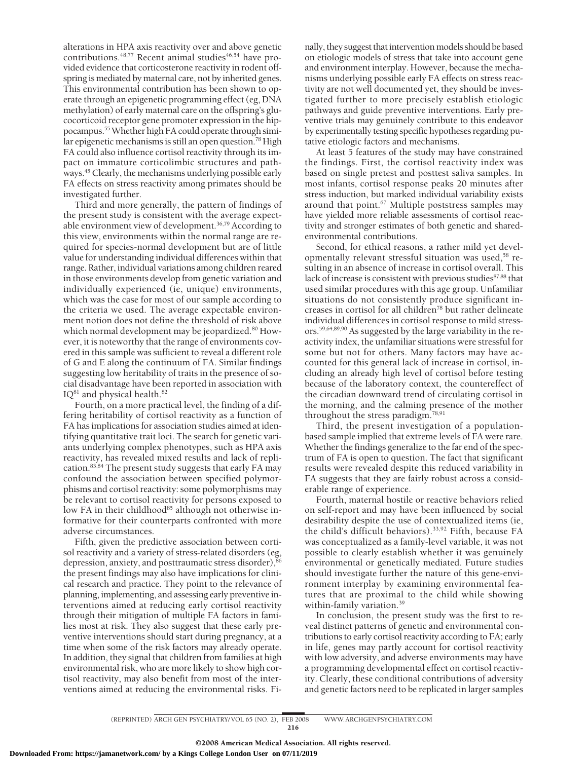alterations in HPA axis reactivity over and above genetic contributions.<sup>48,77</sup> Recent animal studies<sup>46,54</sup> have provided evidence that corticosterone reactivity in rodent offspring is mediated by maternal care, not by inherited genes. This environmental contribution has been shown to operate through an epigenetic programming effect (eg, DNA methylation) of early maternal care on the offspring's glucocorticoid receptor gene promoter expression in the hippocampus.<sup>55</sup> Whether high FA could operate through similar epigenetic mechanisms is still an open question.<sup>78</sup> High FA could also influence cortisol reactivity through its impact on immature corticolimbic structures and pathways.<sup>45</sup> Clearly, the mechanisms underlying possible early FA effects on stress reactivity among primates should be investigated further.

Third and more generally, the pattern of findings of the present study is consistent with the average expectable environment view of development.36,79 According to this view, environments within the normal range are required for species-normal development but are of little value for understanding individual differences within that range. Rather, individual variations among children reared in those environments develop from genetic variation and individually experienced (ie, unique) environments, which was the case for most of our sample according to the criteria we used. The average expectable environment notion does not define the threshold of risk above which normal development may be jeopardized.<sup>80</sup> However, it is noteworthy that the range of environments covered in this sample was sufficient to reveal a different role of G and E along the continuum of FA. Similar findings suggesting low heritability of traits in the presence of social disadvantage have been reported in association with  $IQ^{81}$  and physical health. $82$ 

Fourth, on a more practical level, the finding of a differing heritability of cortisol reactivity as a function of FA has implications for association studies aimed at identifying quantitative trait loci. The search for genetic variants underlying complex phenotypes, such as HPA axis reactivity, has revealed mixed results and lack of replication.83,84 The present study suggests that early FA may confound the association between specified polymorphisms and cortisol reactivity: some polymorphisms may be relevant to cortisol reactivity for persons exposed to low FA in their childhood<sup>85</sup> although not otherwise informative for their counterparts confronted with more adverse circumstances.

Fifth, given the predictive association between cortisol reactivity and a variety of stress-related disorders (eg, depression, anxiety, and posttraumatic stress disorder),<sup>86</sup> the present findings may also have implications for clinical research and practice. They point to the relevance of planning, implementing, and assessing early preventive interventions aimed at reducing early cortisol reactivity through their mitigation of multiple FA factors in families most at risk. They also suggest that these early preventive interventions should start during pregnancy, at a time when some of the risk factors may already operate. In addition, they signal that children from families at high environmental risk, who are more likely to show high cortisol reactivity, may also benefit from most of the interventions aimed at reducing the environmental risks. Finally, they suggest that intervention models should be based on etiologic models of stress that take into account gene and environment interplay. However, because the mechanisms underlying possible early FA effects on stress reactivity are not well documented yet, they should be investigated further to more precisely establish etiologic pathways and guide preventive interventions. Early preventive trials may genuinely contribute to this endeavor by experimentally testing specific hypotheses regarding putative etiologic factors and mechanisms.

At least 5 features of the study may have constrained the findings. First, the cortisol reactivity index was based on single pretest and posttest saliva samples. In most infants, cortisol response peaks 20 minutes after stress induction, but marked individual variability exists around that point.<sup>67</sup> Multiple poststress samples may have yielded more reliable assessments of cortisol reactivity and stronger estimates of both genetic and sharedenvironmental contributions.

Second, for ethical reasons, a rather mild yet developmentally relevant stressful situation was used,<sup>58</sup> resulting in an absence of increase in cortisol overall. This lack of increase is consistent with previous studies<sup>87,88</sup> that used similar procedures with this age group. Unfamiliar situations do not consistently produce significant increases in cortisol for all children78 but rather delineate individual differences in cortisol response to mild stressors.59,64,89,90 As suggested by the large variability in the reactivity index, the unfamiliar situations were stressful for some but not for others. Many factors may have accounted for this general lack of increase in cortisol, including an already high level of cortisol before testing because of the laboratory context, the countereffect of the circadian downward trend of circulating cortisol in the morning, and the calming presence of the mother throughout the stress paradigm.78,91

Third, the present investigation of a populationbased sample implied that extreme levels of FA were rare. Whether the findings generalize to the far end of the spectrum of FA is open to question. The fact that significant results were revealed despite this reduced variability in FA suggests that they are fairly robust across a considerable range of experience.

Fourth, maternal hostile or reactive behaviors relied on self-report and may have been influenced by social desirability despite the use of contextualized items (ie, the child's difficult behaviors).33,92 Fifth, because FA was conceptualized as a family-level variable, it was not possible to clearly establish whether it was genuinely environmental or genetically mediated. Future studies should investigate further the nature of this gene-environment interplay by examining environmental features that are proximal to the child while showing within-family variation.<sup>39</sup>

In conclusion, the present study was the first to reveal distinct patterns of genetic and environmental contributions to early cortisol reactivity according to FA; early in life, genes may partly account for cortisol reactivity with low adversity, and adverse environments may have a programming developmental effect on cortisol reactivity. Clearly, these conditional contributions of adversity and genetic factors need to be replicated in larger samples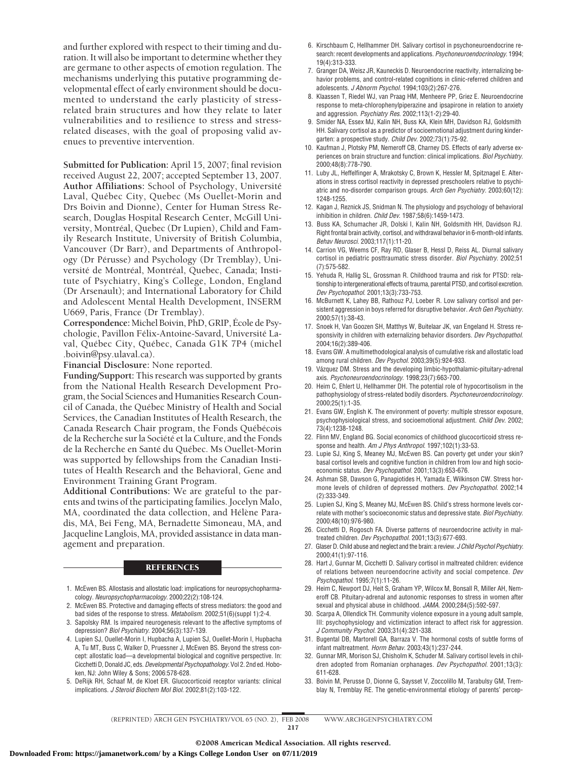and further explored with respect to their timing and duration. It will also be important to determine whether they are germane to other aspects of emotion regulation. The mechanisms underlying this putative programming developmental effect of early environment should be documented to understand the early plasticity of stressrelated brain structures and how they relate to later vulnerabilities and to resilience to stress and stressrelated diseases, with the goal of proposing valid avenues to preventive intervention.

**Submitted for Publication:** April 15, 2007; final revision received August 22, 2007; accepted September 13, 2007. **Author Affiliations:** School of Psychology, Universite´ Laval, Québec City, Quebec (Ms Ouellet-Morin and Drs Boivin and Dionne), Center for Human Stress Research, Douglas Hospital Research Center, McGill University, Montréal, Quebec (Dr Lupien), Child and Family Research Institute, University of British Columbia, Vancouver (Dr Barr), and Departments of Anthropology (Dr Pérusse) and Psychology (Dr Tremblay), Université de Montréal, Montréal, Quebec, Canada; Institute of Psychiatry, King's College, London, England (Dr Arsenault); and International Laboratory for Child and Adolescent Mental Health Development, INSERM U669, Paris, France (Dr Tremblay).

**Correspondence:** Michel Boivin, PhD, GRIP, Ecole de Psychologie, Pavillon Félix-Antoine-Savard, Université Laval, Québec City, Québec, Canada G1K 7P4 (michel .boivin@psy.ulaval.ca).

**Financial Disclosure:** None reported.

**Funding/Support:** This research was supported by grants from the National Health Research Development Program, the Social Sciences and Humanities Research Council of Canada, the Québec Ministry of Health and Social Services, the Canadian Institutes of Health Research, the Canada Research Chair program, the Fonds Québécois de la Recherche sur la Société et la Culture, and the Fonds de la Recherche en Santé du Québec. Ms Ouellet-Morin was supported by fellowships from the Canadian Institutes of Health Research and the Behavioral, Gene and Environment Training Grant Program.

**Additional Contributions:** We are grateful to the parents and twins of the participating families. Jocelyn Malo, MA, coordinated the data collection, and Hélène Paradis, MA, Bei Feng, MA, Bernadette Simoneau, MA, and Jacqueline Langlois, MA, provided assistance in data management and preparation.

#### **REFERENCES**

- 1. McEwen BS. Allostasis and allostatic load: implications for neuropsychopharmacology. *Neuropsychopharmacology*. 2000;22(2):108-124.
- 2. McEwen BS. Protective and damaging effects of stress mediators: the good and bad sides of the response to stress. *Metabolism*. 2002;51(6)(suppl 1):2-4.
- 3. Sapolsky RM. Is impaired neurogenesis relevant to the affective symptoms of depression? *Biol Psychiatry*. 2004;56(3):137-139.
- 4. Lupien SJ, Ouellet-Morin I, Hupbacha A, Lupien SJ, Ouellet-Morin I, Hupbacha A, Tu MT, Buss C, Walker D, Pruessner J, McEwen BS. Beyond the stress concept: allostatic load—a developmental biological and cognitive perspective. In: Cicchetti D, Donald JC, eds. *Developmental Psychopathology.* Vol 2. 2nd ed. Hoboken, NJ: John Wiley & Sons; 2006:578-628.
- 5. DeRijk RH, Schaaf M, de Kloet ER. Glucocorticoid receptor variants: clinical implications. *J Steroid Biochem Mol Biol*. 2002;81(2):103-122.
- 6. Kirschbaum C, Hellhammer DH. Salivary cortisol in psychoneuroendocrine research: recent developments and applications. *Psychoneuroendocrinology*. 1994; 19(4):313-333.
- 7. Granger DA, Weisz JR, Kauneckis D. Neuroendocrine reactivity, internalizing behavior problems, and control-related cognitions in clinic-referred children and adolescents. *J Abnorm Psychol*. 1994;103(2):267-276.
- 8. Klaassen T, Riedel WJ, van Praag HM, Menheere PP, Griez E. Neuroendocrine response to meta-chlorophenylpiperazine and ipsapirone in relation to anxiety and aggression. *Psychiatry Res*. 2002;113(1-2):29-40.
- 9. Smider NA, Essex MJ, Kalin NH, Buss KA, Klein MH, Davidson RJ, Goldsmith HH. Salivary cortisol as a predictor of socioemotional adjustment during kindergarten: a prospective study. *Child Dev*. 2002;73(1):75-92.
- 10. Kaufman J, Plotsky PM, Nemeroff CB, Charney DS. Effects of early adverse experiences on brain structure and function: clinical implications. *Biol Psychiatry*. 2000;48(8):778-790.
- 11. Luby JL, Heffelfinger A, Mrakotsky C, Brown K, Hessler M, Spitznagel E. Alterations in stress cortisol reactivity in depressed preschoolers relative to psychiatric and no-disorder comparison groups. *Arch Gen Psychiatry*. 2003;60(12): 1248-1255.
- 12. Kagan J, Reznick JS, Snidman N. The physiology and psychology of behavioral inhibition in children. *Child Dev*. 1987;58(6):1459-1473.
- 13. Buss KA, Schumacher JR, Dolski I, Kalin NH, Goldsmith HH, Davidson RJ. Right frontal brain activity, cortisol, and withdrawal behavior in 6-month-old infants. *Behav Neurosci*. 2003;117(1):11-20.
- 14. Carrion VG, Weems CF, Ray RD, Glaser B, Hessl D, Reiss AL. Diurnal salivary cortisol in pediatric posttraumatic stress disorder. *Biol Psychiatry*. 2002;51 (7):575-582.
- 15. Yehuda R, Hallig SL, Grossman R. Childhood trauma and risk for PTSD: relationship to intergenerational effects of trauma, parental PTSD, and cortisol excretion. *Dev Psychopathol*. 2001;13(3):733-753.
- 16. McBurnett K, Lahey BB, Rathouz PJ, Loeber R. Low salivary cortisol and persistent aggression in boys referred for disruptive behavior. *Arch Gen Psychiatry*. 2000;57(1):38-43.
- 17. Snoek H, Van Goozen SH, Matthys W, Buitelaar JK, van Engeland H. Stress responsivity in children with externalizing behavior disorders. *Dev Psychopathol*. 2004;16(2):389-406.
- 18. Evans GW. A multimethodological analysis of cumulative risk and allostatic load among rural children. *Dev Psychol*. 2003;39(5):924-933.
- 19. Vázquez DM. Stress and the developing limbic-hypothalamic-pituitary-adrenal axis. *Psychoneuroendocrinology*. 1998;23(7):663-700.
- 20. Heim C, Ehlert U, Hellhammer DH. The potential role of hypocortisolism in the pathophysiology of stress-related bodily disorders. *Psychoneuroendocrinology*. 2000;25(1):1-35.
- 21. Evans GW, English K. The environment of poverty: multiple stressor exposure, psychophysiological stress, and socioemotional adjustment. *Child Dev*. 2002; 73(4):1238-1248.
- 22. Flinn MV, England BG. Social economics of childhood glucocorticoid stress response and health. *Am J Phys Anthropol*. 1997;102(1):33-53.
- 23. Lupie SJ, King S, Meaney MJ, McEwen BS. Can poverty get under your skin? basal cortisol levels and cognitive function in children from low and high socioeconomic status. *Dev Psychopathol*. 2001;13(3):653-676.
- 24. Ashman SB, Dawson G, Panagiotides H, Yamada E, Wilkinson CW. Stress hormone levels of children of depressed mothers. *Dev Psychopathol*. 2002;14 (2):333-349.
- 25. Lupien SJ, King S, Meaney MJ, McEwen BS. Child's stress hormone levels correlate with mother's socioeconomic status and depressive state. *Biol Psychiatry*. 2000;48(10):976-980.
- 26. Cicchetti D, Rogosch FA. Diverse patterns of neuroendocrine activity in maltreated children. *Dev Psychopathol*. 2001;13(3):677-693.
- 27. Glaser D. Child abuse and neglect and the brain: a review. *J Child Psychol Psychiatry*. 2000;41(1):97-116.
- 28. Hart J, Gunnar M, Cicchetti D. Salivary cortisol in maltreated children: evidence of relations between neuroendocrine activity and social competence. *Dev Psychopathol*. 1995;7(1):11-26.
- 29. Heim C, Newport DJ, Heit S, Graham YP, Wilcox M, Bonsall R, Miller AH, Nemeroff CB. Pituitary-adrenal and autonomic responses to stress in women after sexual and physical abuse in childhood. *JAMA*. 2000;284(5):592-597.
- 30. Scarpa A, Ollendick TH. Community violence exposure in a young adult sample, III: psychophysiology and victimization interact to affect risk for aggression. *J Community Psychol*. 2003;31(4):321-338.
- 31. Bugental DB, Martorell GA, Barraza V. The hormonal costs of subtle forms of infant maltreatment. *Horm Behav*. 2003;43(1):237-244.
- 32. Gunnar MR, Morison SJ, Chisholm K, Schuder M. Salivary cortisol levels in children adopted from Romanian orphanages. *Dev Psychopathol*. 2001;13(3): 611-628.
- 33. Boivin M, Perusse D, Dionne G, Saysset V, Zoccolillo M, Tarabulsy GM, Tremblay N, Tremblay RE. The genetic-environmental etiology of parents' percep-

(REPRINTED) ARCH GEN PSYCHIATRY/ VOL 65 (NO. 2), FEB 2008 WWW.ARCHGENPSYCHIATRY.COM 217

©2008 American Medical Association. All rights reserved.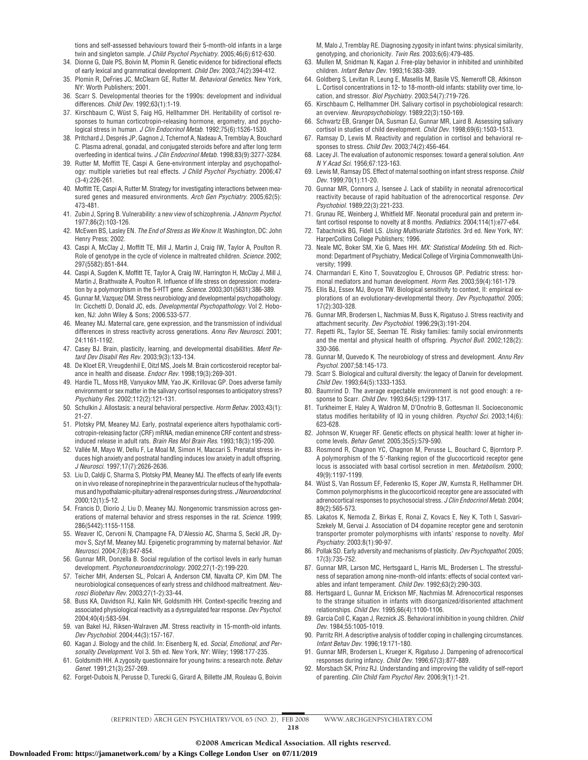tions and self-assessed behaviours toward their 5-month-old infants in a large twin and singleton sample. *J Child Psychol Psychiatry*. 2005;46(6):612-630.

- 34. Dionne G, Dale PS, Boivin M, Plomin R. Genetic evidence for bidirectional effects of early lexical and grammatical development. *Child Dev*. 2003;74(2):394-412.
- 35. Plomin R, DeFries JC, McClearn GE, Rutter M. *Behavioral Genetics.* New York, NY: Worth Publishers; 2001.
- 36. Scarr S. Developmental theories for the 1990s: development and individual differences. *Child Dev*. 1992;63(1):1-19.
- 37. Kirschbaum C, Wüst S, Faig HG, Hellhammer DH. Heritability of cortisol responses to human corticotropin-releasing hormone, ergometry, and psychological stress in human. *J Clin Endocrinol Metab*. 1992;75(6):1526-1530.
- 38. Pritchard J, Després JP, Gagnon J, Tchernof A, Nadeau A, Tremblay A, Bouchard C. Plasma adrenal, gonadal, and conjugated steroids before and after long term overfeeding in identical twins. *J Clin Endocrinol Metab*. 1998;83(9):3277-3284.
- 39. Rutter M, Moffitt TE, Caspi A. Gene-environment interplay and psychopathology: multiple varieties but real effects. *J Child Psychol Psychiatry*. 2006;47 (3-4):226-261.
- 40. Moffitt TE, Caspi A, Rutter M. Strategy for investigating interactions between measured genes and measured environments. *Arch Gen Psychiatry*. 2005;62(5): 473-481.
- 41. Zubin J, Spring B. Vulnerability: a new view of schizophrenia. *J Abnorm Psychol*. 1977;86(2):103-126.
- 42. McEwen BS, Lasley EN. *The End of Stress as We Know It.* Washington, DC: John Henry Press; 2002.
- 43. Caspi A, McClay J, Moffitt TE, Mill J, Martin J, Craig IW, Taylor A, Poulton R. Role of genotype in the cycle of violence in maltreated children. *Science*. 2002; 297(5582):851-844.
- 44. Caspi A, Sugden K, Moffitt TE, Taylor A, Craig IW, Harrington H, McClay J, Mill J, Martin J, Braithwaite A, Poulton R. Influence of life stress on depression: moderation by a polymorphism in the 5-HTT gene. *Science*. 2003;301(5631):386-389.
- 45. Gunnar M, Vazquez DM. Stress neurobiology and developmental psychopathology. In: Cicchetti D, Donald JC, eds. *Developmental Psychopathology.* Vol 2. Hoboken, NJ: John Wiley & Sons; 2006:533-577.
- 46. Meaney MJ. Maternal care, gene expression, and the transmission of individual differences in stress reactivity across generations. *Annu Rev Neurosci*. 2001; 24:1161-1192.
- 47. Casey BJ. Brain, plasticity, learning, and developmental disabilities. *Ment Retard Dev Disabil Res Rev*. 2003;9(3):133-134.
- 48. De Kloet ER, Vreugdenhil E, Oitzl MS, Joels M. Brain corticosteroid receptor balance in health and disease. *Endocr Rev*. 1998;19(3):269-301.
- 49. Hardie TL, Moss HB, Vanyukov MM, Yao JK, Kirillovac GP. Does adverse family environment or sex matter in the salivary cortisol responses to anticipatory stress? *Psychiatry Res*. 2002;112(2):121-131.
- 50. Schulkin J. Allostasis: a neural behavioral perspective. *Horm Behav*. 2003;43(1): 21-27.
- 51. Plotsky PM, Meaney MJ. Early, postnatal experience alters hypothalamic corticotropin-releasing factor (CRF) mRNA, median eminence CRF content and stressinduced release in adult rats. *Brain Res Mol Brain Res*. 1993;18(3):195-200.
- 52. Vallée M, Mayo W, Dellu F, Le Moal M, Simon H, Maccari S. Prenatal stress induces high anxiety and postnatal handling induces low anxiety in adult offspring. *J Neurosci*. 1997;17(7):2626-2636.
- 53. Liu D, Caldji C, Sharma S, Plotsky PM, Meaney MJ. The effects of early life events on in vivo release of norepinephrine in the paraventricular nucleus of the hypothalamusandhypothalamic-pituitary-adrenalresponsesduringstress.*JNeuroendocrinol*. 2000;12(1):5-12.
- 54. Francis D, Diorio J, Liu D, Meaney MJ. Nongenomic transmission across generations of maternal behavior and stress responses in the rat. *Science*. 1999; 286(5442):1155-1158.
- 55. Weaver IC, Cervoni N, Champagne FA, D'Alessio AC, Sharma S, Seckl JR, Dymov S, Szyf M, Meaney MJ. Epigenetic programming by maternal behavior. *Nat Neurosci*. 2004;7(8):847-854.
- 56. Gunnar MR, Donzella B. Social regulation of the cortisol levels in early human development. *Psychoneuroendocrinology*. 2002;27(1-2):199-220.
- 57. Teicher MH, Andersen SL, Polcari A, Anderson CM, Navalta CP, Kim DM. The neurobiological consequences of early stress and childhood maltreatment. *Neurosci Biobehav Rev*. 2003;27(1-2):33-44.
- 58. Buss KA, Davidson RJ, Kalin NH, Goldsmith HH. Context-specific freezing and associated physiological reactivity as a dysregulated fear response. *Dev Psychol*. 2004;40(4):583-594.
- 59. van Bakel HJ, Riksen-Walraven JM. Stress reactivity in 15-month-old infants. *Dev Psychobiol*. 2004;44(3):157-167.
- 60. Kagan J. Biology and the child. In: Eisenberg N, ed. *Social, Emotional, and Personality Development.* Vol 3. 5th ed. New York, NY: Wiley; 1998:177-235.
- 61. Goldsmith HH. A zygosity questionnaire for young twins: a research note. *Behav Genet*. 1991;21(3):257-269.
- 62. Forget-Dubois N, Perusse D, Turecki G, Girard A, Billette JM, Rouleau G, Boivin

M, Malo J, Tremblay RE. Diagnosing zygosity in infant twins: physical similarity, genotyping, and chorionicity. *Twin Res*. 2003;6(6):479-485.

- 63. Mullen M, Snidman N, Kagan J. Free-play behavior in inhibited and uninhibited children. *Infant Behav Dev*. 1993;16:383-389.
- 64. Goldberg S, Levitan R, Leung E, Masellis M, Basile VS, Nemeroff CB, Atkinson L. Cortisol concentrations in 12- to 18-month-old infants: stability over time, location, and stressor. *Biol Psychiatry*. 2003;54(7):719-726.
- 65. Kirschbaum C, Hellhammer DH. Salivary cortisol in psychobiological research: an overview. *Neuropsychobiology*. 1989;22(3):150-169.
- 66. Schwartz EB, Granger DA, Susman EJ, Gunnar MR, Laird B. Assessing salivary cortisol in studies of child development. *Child Dev*. 1998;69(6):1503-1513.
- 67. Ramsay D, Lewis M. Reactivity and regulation in cortisol and behavioral responses to stress. *Child Dev*. 2003;74(2):456-464.
- 68. Lacey JI. The evaluation of autonomic responses: toward a general solution. *Ann N Y Acad Sci*. 1956;67:123-163.
- 69. Lewis M, Ramsay DS. Effect of maternal soothing on infant stress response. *Child Dev*. 1999;70(1):11-20.
- 70. Gunnar MR, Connors J, Isensee J. Lack of stability in neonatal adrenocortical reactivity because of rapid habituation of the adrenocortical response. *Dev Psychobiol*. 1989;22(3):221-233.
- 71. Grunau RE, Weinberg J, Whitfield MF. Neonatal procedural pain and preterm infant cortisol response to novelty at 8 months. *Pediatrics*. 2004;114(1):e77-e84.
- 72. Tabachnick BG, Fidell LS. *Using Multivariate Statistics.* 3rd ed. New York, NY: HarperCollins College Publishers; 1996.
- 73. Neale MC, Boker SM, Xie G, Maes HH. *MX: Statistical Modeling.* 5th ed. Richmond: Department of Psychiatry, Medical College of Virginia Commonwealth University; 1999.
- 74. Charmandari E, Kino T, Souvatzoglou E, Chrousos GP. Pediatric stress: hormonal mediators and human development. *Horm Res*. 2003;59(4):161-179.
- 75. Ellis BJ, Essex MJ, Boyce TW. Biological sensitivity to context, II: empirical explorations of an evolutionary-developmental theory. *Dev Psychopathol*. 2005; 17(2):303-328.
- 76. Gunnar MR, Brodersen L, Nachmias M, Buss K, Rigatuso J. Stress reactivity and attachment security. *Dev Psychobiol*. 1996;29(3):191-204.
- 77. Repetti RL, Taylor SE, Seeman TE. Risky families: family social environments and the mental and physical health of offspring. *Psychol Bull*. 2002;128(2): 330-366.
- 78. Gunnar M, Quevedo K. The neurobiology of stress and development. *Annu Rev Psychol*. 2007;58:145-173.
- 79. Scarr S. Biological and cultural diversity: the legacy of Darwin for development. *Child Dev*. 1993;64(5):1333-1353.
- 80. Baumrind D. The average expectable environment is not good enough: a response to Scarr. *Child Dev*. 1993;64(5):1299-1317.
- 81. Turkheimer E, Haley A, Waldron M, D'Onofrio B, Gottesman II. Socioeconomic status modifies heritability of IQ in young children. *Psychol Sci*. 2003;14(6): 623-628.
- 82. Johnson W, Krueger RF. Genetic effects on physical health: lower at higher income levels. *Behav Genet*. 2005;35(5):579-590.
- 83. Rosmond R, Chagnon YC, Chagnon M, Perusse L, Bouchard C, Bjorntorp P. A polymorphism of the 5'-flanking region of the glucocorticoid receptor gene locus is associated with basal cortisol secretion in men. *Metabolism*. 2000; 49(9):1197-1199.
- 84. Wüst S, Van Rossum EF, Federenko IS, Koper JW, Kumsta R, Hellhammer DH. Common polymorphisms in the glucocorticoid receptor gene are associated with adrenocortical responses to psychosocial stress. *J Clin Endocrinol Metab*. 2004; 89(2):565-573.
- 85. Lakatos K, Nemoda Z, Birkas E, Ronai Z, Kovacs E, Ney K, Toth I, Sasvari-Szekely M, Gervai J. Association of D4 dopamine receptor gene and serotonin transporter promoter polymorphisms with infants' response to novelty. *Mol Psychiatry*. 2003;8(1):90-97.
- 86. Pollak SD. Early adversity and mechanisms of plasticity. *Dev Psychopathol*. 2005; 17(3):735-752.
- 87. Gunnar MR, Larson MC, Hertsgaard L, Harris ML, Brodersen L. The stressfulness of separation among nine-month-old infants: effects of social context variables and infant temperament. *Child Dev*. 1992;63(2):290-303.
- 88. Hertsgaard L, Gunnar M, Erickson MF, Nachmias M. Adrenocortical responses to the strange situation in infants with disorganized/disoriented attachment relationships. *Child Dev*. 1995;66(4):1100-1106.
- 89. Garcia Coll C, Kagan J, Reznick JS. Behavioral inhibition in young children. *Child Dev*. 1984;55:1005-1019.
- 90. Parritz RH. A descriptive analysis of toddler coping in challenging circumstances. *Infant Behav Dev*. 1996;19:171-180.
- 91. Gunnar MR, Brodersen L, Krueger K, Rigatuso J. Dampening of adrenocortical responses during infancy. *Child Dev*. 1996;67(3):877-889.
- 92. Morsbach SK, Prinz RJ. Understanding and improving the validity of self-report of parenting. *Clin Child Fam Psychol Rev*. 2006;9(1):1-21.

(REPRINTED) ARCH GEN PSYCHIATRY/ VOL 65 (NO. 2), FEB 2008 WWW.ARCHGENPSYCHIATRY.COM 218